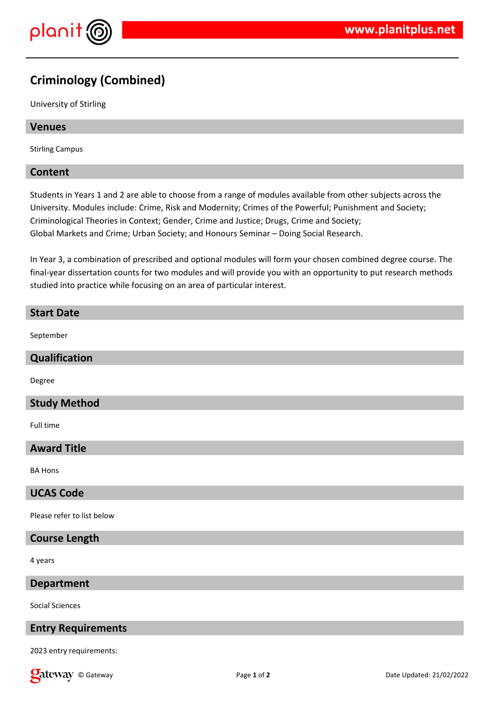

# **Criminology (Combined)**

University of Stirling

## **Venues**

Stirling Campus

## **Content**

Students in Years 1 and 2 are able to choose from a range of modules available from other subjects across the University. Modules include: Crime, Risk and Modernity; Crimes of the Powerful; Punishment and Society; Criminological Theories in Context; Gender, Crime and Justice; Drugs, Crime and Society; Global Markets and Crime; Urban Society; and Honours Seminar – Doing Social Research.

In Year 3, a combination of prescribed and optional modules will form your chosen combined degree course. The final-year dissertation counts for two modules and will provide you with an opportunity to put research methods studied into practice while focusing on an area of particular interest.

## **Start Date**

September

## **Qualification**

Degree

## **Study Method**

Full time

## **Award Title**

BA Hons

## **UCAS Code**

Please refer to list below

#### **Course Length**

4 years

#### **Department**

Social Sciences

## **Entry Requirements**

2023 entry requirements:

**Call EXECURI Page 1** of **2** Date Updated: 21/02/2022 **Date Updated: 21/02/2022**